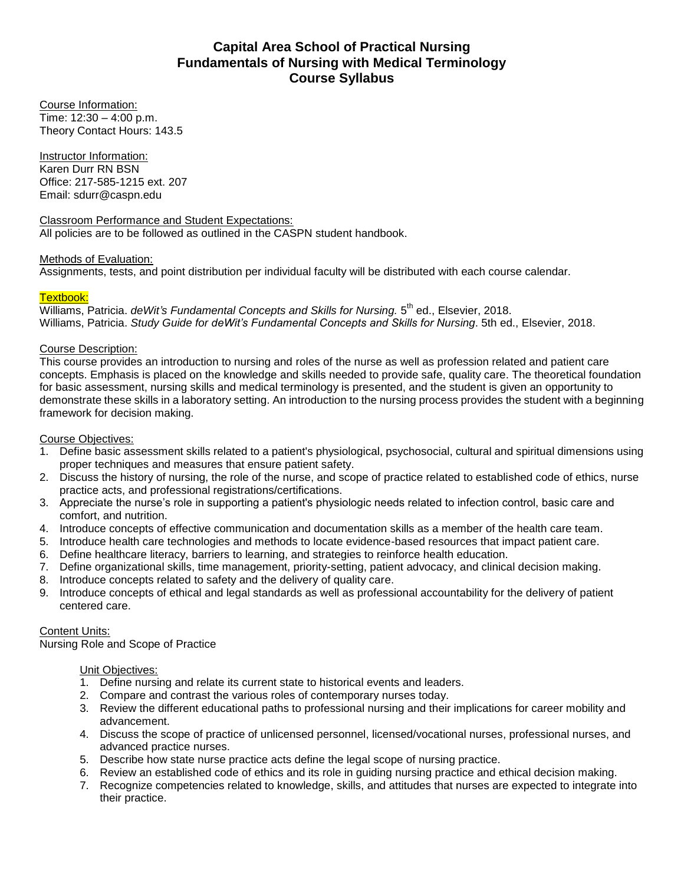# **Capital Area School of Practical Nursing Fundamentals of Nursing with Medical Terminology Course Syllabus**

Course Information: Time: 12:30 – 4:00 p.m. Theory Contact Hours: 143.5

Instructor Information: Karen Durr RN BSN Office: 217-585-1215 ext. 207 Email: sdurr@caspn.edu

Classroom Performance and Student Expectations: All policies are to be followed as outlined in the CASPN student handbook.

# Methods of Evaluation:

Assignments, tests, and point distribution per individual faculty will be distributed with each course calendar.

# Textbook:

Williams, Patricia. deWit's Fundamental Concepts and Skills for Nursing. 5<sup>th</sup> ed., Elsevier, 2018. Williams, Patricia. *Study Guide for deWit's Fundamental Concepts and Skills for Nursing*. 5th ed., Elsevier, 2018.

# Course Description:

This course provides an introduction to nursing and roles of the nurse as well as profession related and patient care concepts. Emphasis is placed on the knowledge and skills needed to provide safe, quality care. The theoretical foundation for basic assessment, nursing skills and medical terminology is presented, and the student is given an opportunity to demonstrate these skills in a laboratory setting. An introduction to the nursing process provides the student with a beginning framework for decision making.

# Course Objectives:

- 1. Define basic assessment skills related to a patient's physiological, psychosocial, cultural and spiritual dimensions using proper techniques and measures that ensure patient safety.
- 2. Discuss the history of nursing, the role of the nurse, and scope of practice related to established code of ethics, nurse practice acts, and professional registrations/certifications.
- 3. Appreciate the nurse's role in supporting a patient's physiologic needs related to infection control, basic care and comfort, and nutrition.
- 4. Introduce concepts of effective communication and documentation skills as a member of the health care team.
- 5. Introduce health care technologies and methods to locate evidence-based resources that impact patient care.
- 6. Define healthcare literacy, barriers to learning, and strategies to reinforce health education.
- 7. Define organizational skills, time management, priority-setting, patient advocacy, and clinical decision making.
- 8. Introduce concepts related to safety and the delivery of quality care.
- 9. Introduce concepts of ethical and legal standards as well as professional accountability for the delivery of patient centered care.

# Content Units:

Nursing Role and Scope of Practice

# Unit Objectives:

- 1. Define nursing and relate its current state to historical events and leaders.
- 2. Compare and contrast the various roles of contemporary nurses today.
- 3. Review the different educational paths to professional nursing and their implications for career mobility and advancement.
- 4. Discuss the scope of practice of unlicensed personnel, licensed/vocational nurses, professional nurses, and advanced practice nurses.
- 5. Describe how state nurse practice acts define the legal scope of nursing practice.
- 6. Review an established code of ethics and its role in guiding nursing practice and ethical decision making.
- 7. Recognize competencies related to knowledge, skills, and attitudes that nurses are expected to integrate into their practice.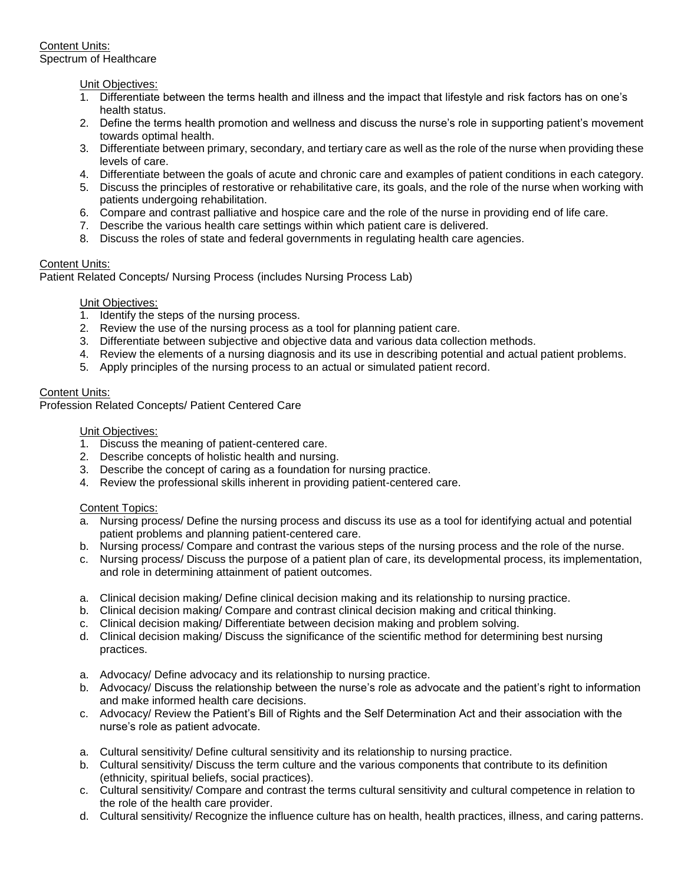### Unit Objectives:

- 1. Differentiate between the terms health and illness and the impact that lifestyle and risk factors has on one's health status.
- 2. Define the terms health promotion and wellness and discuss the nurse's role in supporting patient's movement towards optimal health.
- 3. Differentiate between primary, secondary, and tertiary care as well as the role of the nurse when providing these levels of care.
- 4. Differentiate between the goals of acute and chronic care and examples of patient conditions in each category.
- 5. Discuss the principles of restorative or rehabilitative care, its goals, and the role of the nurse when working with patients undergoing rehabilitation.
- 6. Compare and contrast palliative and hospice care and the role of the nurse in providing end of life care.
- 7. Describe the various health care settings within which patient care is delivered.
- 8. Discuss the roles of state and federal governments in regulating health care agencies.

## Content Units:

Patient Related Concepts/ Nursing Process (includes Nursing Process Lab)

## Unit Objectives:

- 1. Identify the steps of the nursing process.
- 2. Review the use of the nursing process as a tool for planning patient care.
- 3. Differentiate between subjective and objective data and various data collection methods.
- 4. Review the elements of a nursing diagnosis and its use in describing potential and actual patient problems.
- 5. Apply principles of the nursing process to an actual or simulated patient record.

## Content Units:

Profession Related Concepts/ Patient Centered Care

### Unit Objectives:

- 1. Discuss the meaning of patient-centered care.
- 2. Describe concepts of holistic health and nursing.
- 3. Describe the concept of caring as a foundation for nursing practice.
- 4. Review the professional skills inherent in providing patient-centered care.

### Content Topics:

- a. Nursing process/ Define the nursing process and discuss its use as a tool for identifying actual and potential patient problems and planning patient-centered care.
- b. Nursing process/ Compare and contrast the various steps of the nursing process and the role of the nurse.
- c. Nursing process/ Discuss the purpose of a patient plan of care, its developmental process, its implementation, and role in determining attainment of patient outcomes.
- a. Clinical decision making/ Define clinical decision making and its relationship to nursing practice.
- b. Clinical decision making/ Compare and contrast clinical decision making and critical thinking.
- c. Clinical decision making/ Differentiate between decision making and problem solving.
- d. Clinical decision making/ Discuss the significance of the scientific method for determining best nursing practices.
- a. Advocacy/ Define advocacy and its relationship to nursing practice.
- b. Advocacy/ Discuss the relationship between the nurse's role as advocate and the patient's right to information and make informed health care decisions.
- c. Advocacy/ Review the Patient's Bill of Rights and the Self Determination Act and their association with the nurse's role as patient advocate.
- a. Cultural sensitivity/ Define cultural sensitivity and its relationship to nursing practice.
- b. Cultural sensitivity/ Discuss the term culture and the various components that contribute to its definition (ethnicity, spiritual beliefs, social practices).
- c. Cultural sensitivity/ Compare and contrast the terms cultural sensitivity and cultural competence in relation to the role of the health care provider.
- d. Cultural sensitivity/ Recognize the influence culture has on health, health practices, illness, and caring patterns.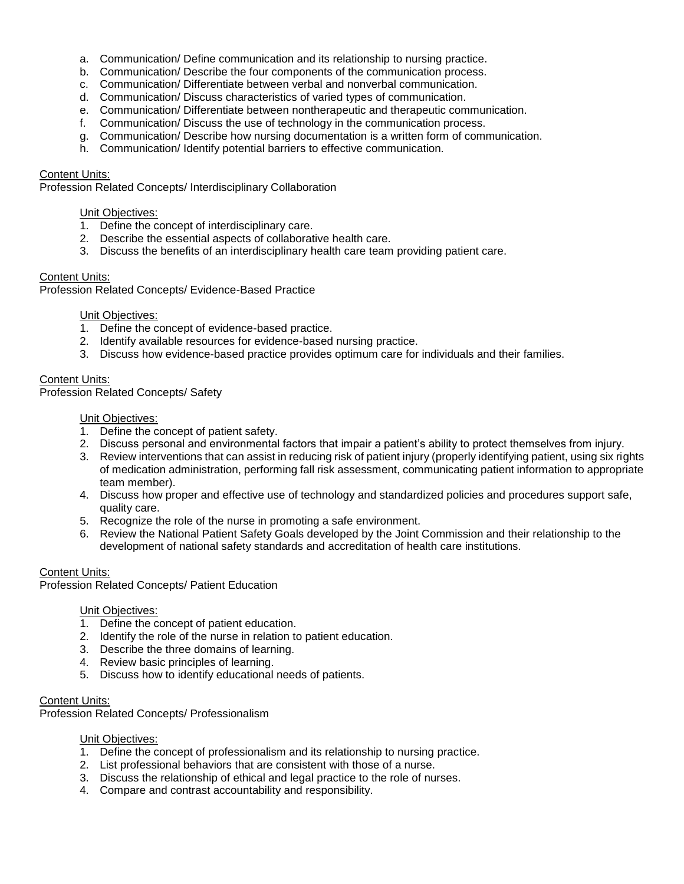- a. Communication/ Define communication and its relationship to nursing practice.
- b. Communication/ Describe the four components of the communication process.
- c. Communication/ Differentiate between verbal and nonverbal communication.
- d. Communication/ Discuss characteristics of varied types of communication.
- e. Communication/ Differentiate between nontherapeutic and therapeutic communication.
- f. Communication/ Discuss the use of technology in the communication process.
- g. Communication/ Describe how nursing documentation is a written form of communication.
- h. Communication/ Identify potential barriers to effective communication.

### Content Units:

Profession Related Concepts/ Interdisciplinary Collaboration

### Unit Objectives:

- 1. Define the concept of interdisciplinary care.
- 2. Describe the essential aspects of collaborative health care.
- 3. Discuss the benefits of an interdisciplinary health care team providing patient care.

## Content Units:

Profession Related Concepts/ Evidence-Based Practice

## Unit Objectives:

- 1. Define the concept of evidence-based practice.
- 2. Identify available resources for evidence-based nursing practice.
- 3. Discuss how evidence-based practice provides optimum care for individuals and their families.

## Content Units:

Profession Related Concepts/ Safety

### Unit Objectives:

- 1. Define the concept of patient safety.
- 2. Discuss personal and environmental factors that impair a patient's ability to protect themselves from injury.
- 3. Review interventions that can assist in reducing risk of patient injury (properly identifying patient, using six rights of medication administration, performing fall risk assessment, communicating patient information to appropriate team member).
- 4. Discuss how proper and effective use of technology and standardized policies and procedures support safe, quality care.
- 5. Recognize the role of the nurse in promoting a safe environment.
- 6. Review the National Patient Safety Goals developed by the Joint Commission and their relationship to the development of national safety standards and accreditation of health care institutions.

# Content Units:

Profession Related Concepts/ Patient Education

### Unit Objectives:

- 1. Define the concept of patient education.
- 2. Identify the role of the nurse in relation to patient education.
- 3. Describe the three domains of learning.
- 4. Review basic principles of learning.
- 5. Discuss how to identify educational needs of patients.

### Content Units:

Profession Related Concepts/ Professionalism

# Unit Objectives:

- 1. Define the concept of professionalism and its relationship to nursing practice.
- 2. List professional behaviors that are consistent with those of a nurse.
- 3. Discuss the relationship of ethical and legal practice to the role of nurses.
- 4. Compare and contrast accountability and responsibility.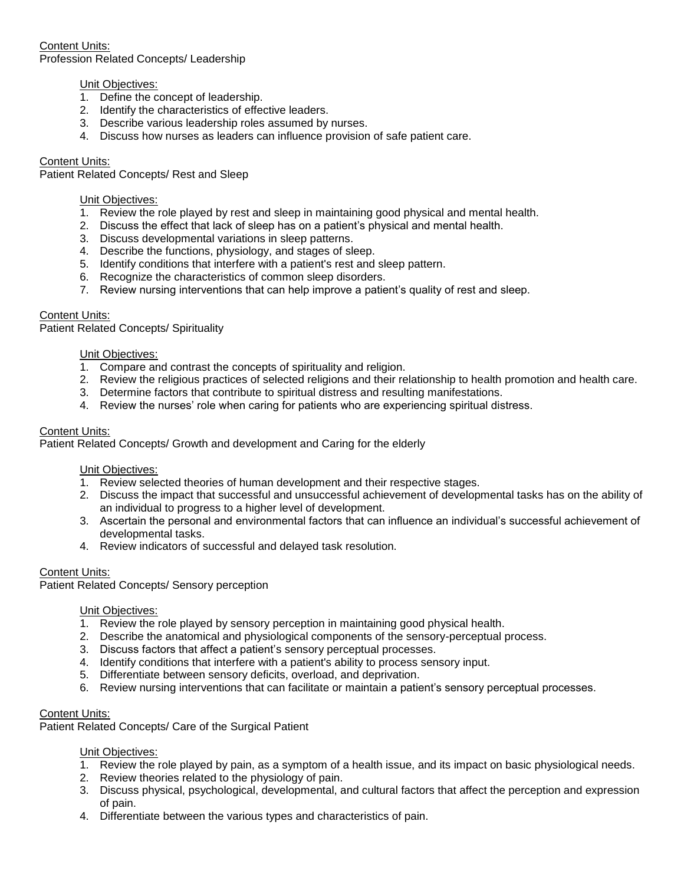Content Units: Profession Related Concepts/ Leadership

# Unit Objectives:

- 1. Define the concept of leadership.
- 2. Identify the characteristics of effective leaders.
- 3. Describe various leadership roles assumed by nurses.
- 4. Discuss how nurses as leaders can influence provision of safe patient care.

# Content Units:

Patient Related Concepts/ Rest and Sleep

# Unit Objectives:

- 1. Review the role played by rest and sleep in maintaining good physical and mental health.
- 2. Discuss the effect that lack of sleep has on a patient's physical and mental health.
- 3. Discuss developmental variations in sleep patterns.
- 4. Describe the functions, physiology, and stages of sleep.
- 5. Identify conditions that interfere with a patient's rest and sleep pattern.
- 6. Recognize the characteristics of common sleep disorders.
- 7. Review nursing interventions that can help improve a patient's quality of rest and sleep.

# Content Units:

Patient Related Concepts/ Spirituality

## Unit Objectives:

- 1. Compare and contrast the concepts of spirituality and religion.
- 2. Review the religious practices of selected religions and their relationship to health promotion and health care.
- 3. Determine factors that contribute to spiritual distress and resulting manifestations.
- 4. Review the nurses' role when caring for patients who are experiencing spiritual distress.

## Content Units:

Patient Related Concepts/ Growth and development and Caring for the elderly

### Unit Objectives:

- 1. Review selected theories of human development and their respective stages.
- 2. Discuss the impact that successful and unsuccessful achievement of developmental tasks has on the ability of an individual to progress to a higher level of development.
- 3. Ascertain the personal and environmental factors that can influence an individual's successful achievement of developmental tasks.
- 4. Review indicators of successful and delayed task resolution.

# Content Units:

Patient Related Concepts/ Sensory perception

### Unit Objectives:

- 1. Review the role played by sensory perception in maintaining good physical health.
- 2. Describe the anatomical and physiological components of the sensory-perceptual process.
- 3. Discuss factors that affect a patient's sensory perceptual processes.
- 4. Identify conditions that interfere with a patient's ability to process sensory input.
- 5. Differentiate between sensory deficits, overload, and deprivation.
- 6. Review nursing interventions that can facilitate or maintain a patient's sensory perceptual processes.

## Content Units:

Patient Related Concepts/ Care of the Surgical Patient

### Unit Objectives:

- 1. Review the role played by pain, as a symptom of a health issue, and its impact on basic physiological needs.
- 2. Review theories related to the physiology of pain.
- 3. Discuss physical, psychological, developmental, and cultural factors that affect the perception and expression of pain.
- 4. Differentiate between the various types and characteristics of pain.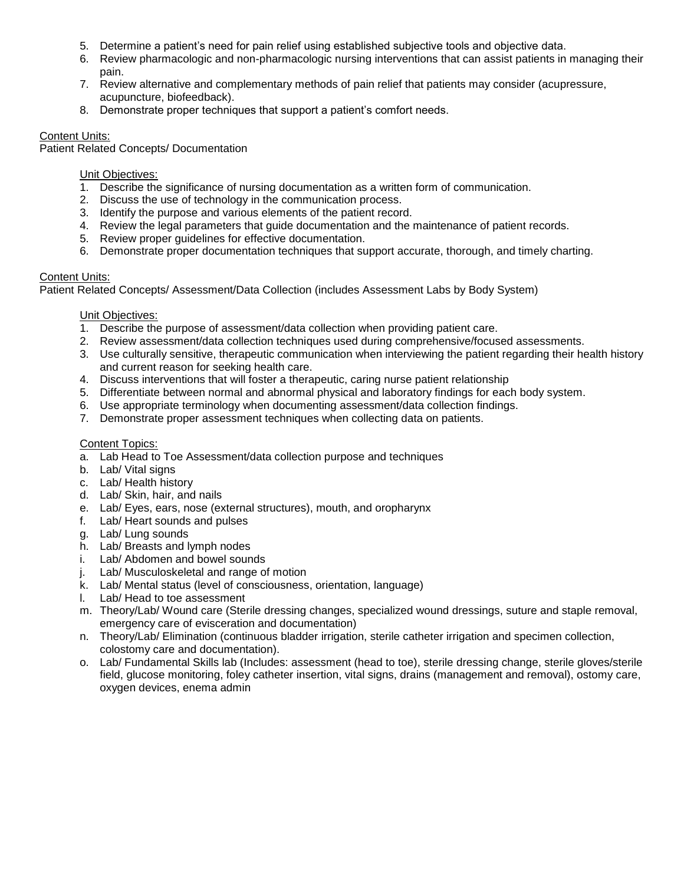- 5. Determine a patient's need for pain relief using established subjective tools and objective data.
- 6. Review pharmacologic and non-pharmacologic nursing interventions that can assist patients in managing their pain.
- 7. Review alternative and complementary methods of pain relief that patients may consider (acupressure, acupuncture, biofeedback).
- 8. Demonstrate proper techniques that support a patient's comfort needs.

# Content Units:

Patient Related Concepts/ Documentation

# Unit Objectives:

- 1. Describe the significance of nursing documentation as a written form of communication.
- 2. Discuss the use of technology in the communication process.
- 3. Identify the purpose and various elements of the patient record.
- 4. Review the legal parameters that guide documentation and the maintenance of patient records.
- 5. Review proper guidelines for effective documentation.
- 6. Demonstrate proper documentation techniques that support accurate, thorough, and timely charting.

# Content Units:

Patient Related Concepts/ Assessment/Data Collection (includes Assessment Labs by Body System)

# Unit Objectives:

- 1. Describe the purpose of assessment/data collection when providing patient care.
- 2. Review assessment/data collection techniques used during comprehensive/focused assessments.
- 3. Use culturally sensitive, therapeutic communication when interviewing the patient regarding their health history and current reason for seeking health care.
- 4. Discuss interventions that will foster a therapeutic, caring nurse patient relationship
- 5. Differentiate between normal and abnormal physical and laboratory findings for each body system.
- 6. Use appropriate terminology when documenting assessment/data collection findings.
- 7. Demonstrate proper assessment techniques when collecting data on patients.

# Content Topics:

- a. Lab Head to Toe Assessment/data collection purpose and techniques
- b. Lab/ Vital signs
- c. Lab/ Health history
- d. Lab/ Skin, hair, and nails
- e. Lab/ Eyes, ears, nose (external structures), mouth, and oropharynx
- f. Lab/ Heart sounds and pulses
- g. Lab/ Lung sounds
- h. Lab/ Breasts and lymph nodes
- i. Lab/ Abdomen and bowel sounds
- j. Lab/ Musculoskeletal and range of motion
- k. Lab/ Mental status (level of consciousness, orientation, language)
- l. Lab/ Head to toe assessment
- m. Theory/Lab/ Wound care (Sterile dressing changes, specialized wound dressings, suture and staple removal, emergency care of evisceration and documentation)
- n. Theory/Lab/ Elimination (continuous bladder irrigation, sterile catheter irrigation and specimen collection, colostomy care and documentation).
- o. Lab/ Fundamental Skills lab (Includes: assessment (head to toe), sterile dressing change, sterile gloves/sterile field, glucose monitoring, foley catheter insertion, vital signs, drains (management and removal), ostomy care, oxygen devices, enema admin